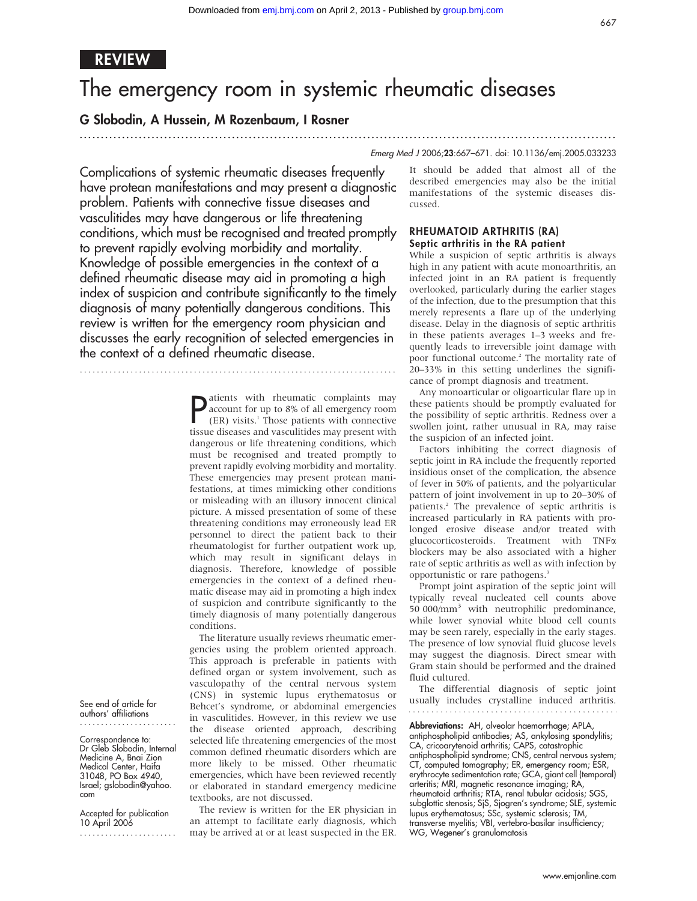.............................................................................................................................. .

# REVIEW

# The emergency room in systemic rheumatic diseases

# G Slobodin, A Hussein, M Rozenbaum, I Rosner

# Emerg Med J 2006;23:667–671. doi: 10.1136/emj.2005.033233

Complications of systemic rheumatic diseases frequently have protean manifestations and may present a diagnostic problem. Patients with connective tissue diseases and vasculitides may have dangerous or life threatening conditions, which must be recognised and treated promptly to prevent rapidly evolving morbidity and mortality. Knowledge of possible emergencies in the context of a defined rheumatic disease may aid in promoting a high index of suspicion and contribute significantly to the timely diagnosis of many potentially dangerous conditions. This review is written for the emergency room physician and discusses the early recognition of selected emergencies in the context of a defined rheumatic disease.

...........................................................................

**P** atients with rheumatic complaints may<br>account for up to 8% of all emergency room<br>(ER) visits.<sup>1</sup> Those patients with connective<br>tissue diseases and vasculitides may present with account for up to 8% of all emergency room (ER) visits.1 Those patients with connective tissue diseases and vasculitides may present with dangerous or life threatening conditions, which must be recognised and treated promptly to prevent rapidly evolving morbidity and mortality. These emergencies may present protean manifestations, at times mimicking other conditions or misleading with an illusory innocent clinical picture. A missed presentation of some of these threatening conditions may erroneously lead ER personnel to direct the patient back to their rheumatologist for further outpatient work up, which may result in significant delays in diagnosis. Therefore, knowledge of possible emergencies in the context of a defined rheumatic disease may aid in promoting a high index of suspicion and contribute significantly to the timely diagnosis of many potentially dangerous conditions.

The literature usually reviews rheumatic emergencies using the problem oriented approach. This approach is preferable in patients with defined organ or system involvement, such as vasculopathy of the central nervous system (CNS) in systemic lupus erythematosus or Behcet's syndrome, or abdominal emergencies in vasculitides. However, in this review we use the disease oriented approach, describing selected life threatening emergencies of the most common defined rheumatic disorders which are more likely to be missed. Other rheumatic emergencies, which have been reviewed recently or elaborated in standard emergency medicine textbooks, are not discussed.

The review is written for the ER physician in an attempt to facilitate early diagnosis, which may be arrived at or at least suspected in the ER.

It should be added that almost all of the described emergencies may also be the initial manifestations of the systemic diseases discussed.

#### RHEUMATOID ARTHRITIS (RA) Septic arthritis in the RA patient

While a suspicion of septic arthritis is always high in any patient with acute monoarthritis, an infected joint in an RA patient is frequently overlooked, particularly during the earlier stages of the infection, due to the presumption that this merely represents a flare up of the underlying disease. Delay in the diagnosis of septic arthritis in these patients averages 1–3 weeks and frequently leads to irreversible joint damage with poor functional outcome.2 The mortality rate of 20–33% in this setting underlines the significance of prompt diagnosis and treatment.

Any monoarticular or oligoarticular flare up in these patients should be promptly evaluated for the possibility of septic arthritis. Redness over a swollen joint, rather unusual in RA, may raise the suspicion of an infected joint.

Factors inhibiting the correct diagnosis of septic joint in RA include the frequently reported insidious onset of the complication, the absence of fever in 50% of patients, and the polyarticular pattern of joint involvement in up to 20–30% of patients.2 The prevalence of septic arthritis is increased particularly in RA patients with prolonged erosive disease and/or treated with glucocorticosteroids. Treatment with TNFa blockers may be also associated with a higher rate of septic arthritis as well as with infection by opportunistic or rare pathogens.<sup>3</sup>

Prompt joint aspiration of the septic joint will typically reveal nucleated cell counts above 50 000/mm<sup>3</sup> with neutrophilic predominance, while lower synovial white blood cell counts may be seen rarely, especially in the early stages. The presence of low synovial fluid glucose levels may suggest the diagnosis. Direct smear with Gram stain should be performed and the drained fluid cultured.

The differential diagnosis of septic joint usually includes crystalline induced arthritis.

Abbreviations: AH, alveolar haemorrhage; APLA, antiphospholipid antibodies; AS, ankylosing spondylitis; CA, cricoarytenoid arthritis; CAPS, catastrophic antiphospholipid syndrome; CNS, central nervous system; CT, computed tomography; ER, emergency room; ESR, erythrocyte sedimentation rate; GCA, giant cell (temporal) arteritis; MRI, magnetic resonance imaging; RA, rheumatoid arthritis; RTA, renal tubular acidosis; SGS, subglottic stenosis; SjS, Sjogren's syndrome; SLE, systemic lupus erythematosus; SSc, systemic sclerosis; TM, transverse myelitis; VBI, vertebro-basilar insufficiency; WG, Wegener's granulomatosis

See end of article for authors' affiliations .......................

Correspondence to: Dr Gleb Slobodin, Internal Medicine A, Bnai Zion Medical Center, Haifa 31048, PO Box 4940, Israel; gslobodin@yahoo. com

Accepted for publication 10 April 2006 .......................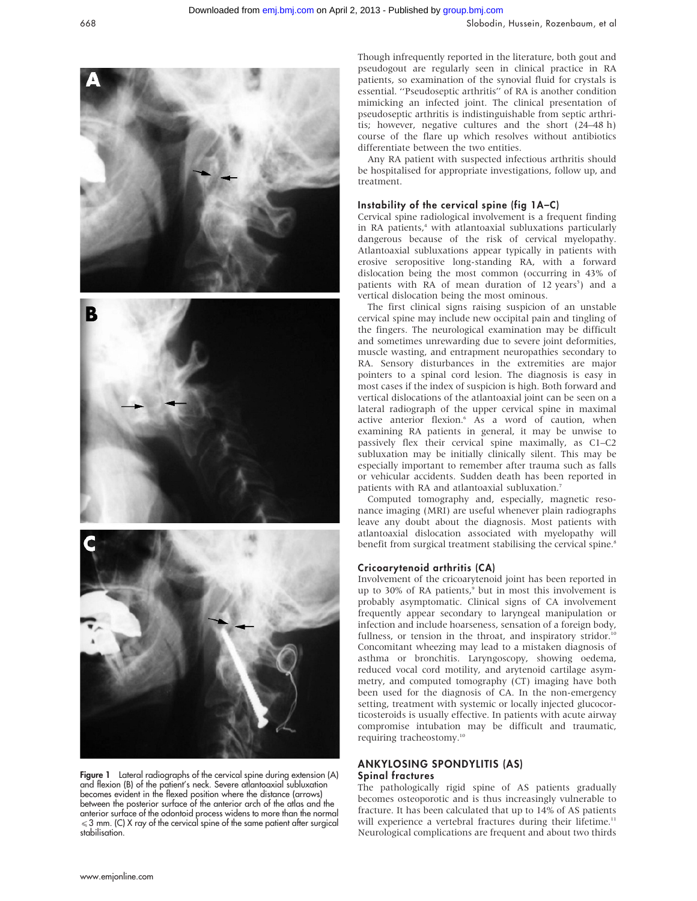

Figure 1 Lateral radiographs of the cervical spine during extension (A) and flexion (B) of the patient's neck. Severe atlantoaxial subluxation becomes evident in the flexed position where the distance (arrows) between the posterior surface of the anterior arch of the atlas and the anterior surface of the odontoid process widens to more than the normal  $\leq$  3 mm. (C) X ray of the cervical spine of the same patient after surgical stabilisation.

Though infrequently reported in the literature, both gout and pseudogout are regularly seen in clinical practice in RA patients, so examination of the synovial fluid for crystals is essential. ''Pseudoseptic arthritis'' of RA is another condition mimicking an infected joint. The clinical presentation of pseudoseptic arthritis is indistinguishable from septic arthritis; however, negative cultures and the short (24–48 h) course of the flare up which resolves without antibiotics differentiate between the two entities.

Any RA patient with suspected infectious arthritis should be hospitalised for appropriate investigations, follow up, and treatment.

# Instability of the cervical spine (fig 1A–C)

Cervical spine radiological involvement is a frequent finding in RA patients,<sup>4</sup> with atlantoaxial subluxations particularly dangerous because of the risk of cervical myelopathy. Atlantoaxial subluxations appear typically in patients with erosive seropositive long-standing RA, with a forward dislocation being the most common (occurring in 43% of patients with RA of mean duration of 12 years<sup>5</sup>) and a vertical dislocation being the most ominous.

The first clinical signs raising suspicion of an unstable cervical spine may include new occipital pain and tingling of the fingers. The neurological examination may be difficult and sometimes unrewarding due to severe joint deformities, muscle wasting, and entrapment neuropathies secondary to RA. Sensory disturbances in the extremities are major pointers to a spinal cord lesion. The diagnosis is easy in most cases if the index of suspicion is high. Both forward and vertical dislocations of the atlantoaxial joint can be seen on a lateral radiograph of the upper cervical spine in maximal active anterior flexion.<sup>6</sup> As a word of caution, when examining RA patients in general, it may be unwise to passively flex their cervical spine maximally, as C1–C2 subluxation may be initially clinically silent. This may be especially important to remember after trauma such as falls or vehicular accidents. Sudden death has been reported in patients with RA and atlantoaxial subluxation.<sup>7</sup>

Computed tomography and, especially, magnetic resonance imaging (MRI) are useful whenever plain radiographs leave any doubt about the diagnosis. Most patients with atlantoaxial dislocation associated with myelopathy will benefit from surgical treatment stabilising the cervical spine.<sup>8</sup>

# Cricoarytenoid arthritis (CA)

Involvement of the cricoarytenoid joint has been reported in up to 30% of RA patients, $9$  but in most this involvement is probably asymptomatic. Clinical signs of CA involvement frequently appear secondary to laryngeal manipulation or infection and include hoarseness, sensation of a foreign body, fullness, or tension in the throat, and inspiratory stridor.<sup>10</sup> Concomitant wheezing may lead to a mistaken diagnosis of asthma or bronchitis. Laryngoscopy, showing oedema, reduced vocal cord motility, and arytenoid cartilage asymmetry, and computed tomography (CT) imaging have both been used for the diagnosis of CA. In the non-emergency setting, treatment with systemic or locally injected glucocorticosteroids is usually effective. In patients with acute airway compromise intubation may be difficult and traumatic, requiring tracheostomy.<sup>10</sup>

# ANKYLOSING SPONDYLITIS (AS) Spinal fractures

The pathologically rigid spine of AS patients gradually becomes osteoporotic and is thus increasingly vulnerable to fracture. It has been calculated that up to 14% of AS patients will experience a vertebral fractures during their lifetime.<sup>11</sup> Neurological complications are frequent and about two thirds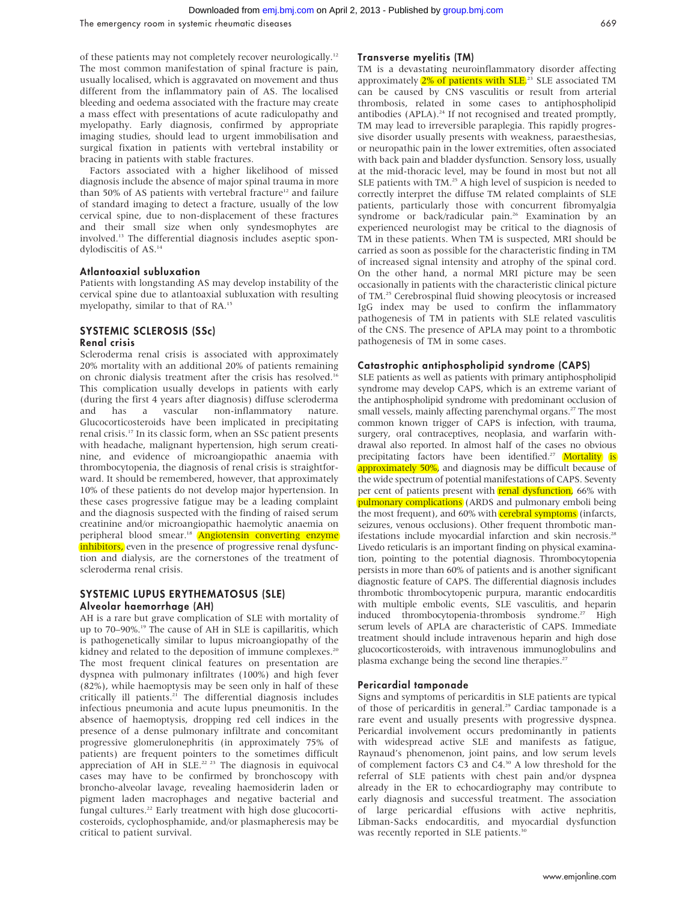of these patients may not completely recover neurologically.12 The most common manifestation of spinal fracture is pain, usually localised, which is aggravated on movement and thus different from the inflammatory pain of AS. The localised bleeding and oedema associated with the fracture may create a mass effect with presentations of acute radiculopathy and myelopathy. Early diagnosis, confirmed by appropriate imaging studies, should lead to urgent immobilisation and surgical fixation in patients with vertebral instability or bracing in patients with stable fractures.

Factors associated with a higher likelihood of missed diagnosis include the absence of major spinal trauma in more than 50% of AS patients with vertebral fracture<sup>12</sup> and failure of standard imaging to detect a fracture, usually of the low cervical spine, due to non-displacement of these fractures and their small size when only syndesmophytes are involved.13 The differential diagnosis includes aseptic spondylodiscitis of AS.14

### Atlantoaxial subluxation

Patients with longstanding AS may develop instability of the cervical spine due to atlantoaxial subluxation with resulting myelopathy, similar to that of RA.15

# SYSTEMIC SCLEROSIS (SSc)

### Renal crisis

Scleroderma renal crisis is associated with approximately 20% mortality with an additional 20% of patients remaining on chronic dialysis treatment after the crisis has resolved.16 This complication usually develops in patients with early (during the first 4 years after diagnosis) diffuse scleroderma and has a vascular non-inflammatory nature. Glucocorticosteroids have been implicated in precipitating renal crisis.17 In its classic form, when an SSc patient presents with headache, malignant hypertension, high serum creatinine, and evidence of microangiopathic anaemia with thrombocytopenia, the diagnosis of renal crisis is straightforward. It should be remembered, however, that approximately 10% of these patients do not develop major hypertension. In these cases progressive fatigue may be a leading complaint and the diagnosis suspected with the finding of raised serum creatinine and/or microangiopathic haemolytic anaemia on peripheral blood smear.<sup>18</sup> Angiotensin converting enzyme inhibitors, even in the presence of progressive renal dysfunction and dialysis, are the cornerstones of the treatment of scleroderma renal crisis.

#### SYSTEMIC LUPUS ERYTHEMATOSUS (SLE) Alveolar haemorrhage (AH)

AH is a rare but grave complication of SLE with mortality of up to 70–90%.<sup>19</sup> The cause of AH in SLE is capillaritis, which is pathogenetically similar to lupus microangiopathy of the kidney and related to the deposition of immune complexes.<sup>20</sup> The most frequent clinical features on presentation are dyspnea with pulmonary infiltrates (100%) and high fever (82%), while haemoptysis may be seen only in half of these critically ill patients.<sup>21</sup> The differential diagnosis includes infectious pneumonia and acute lupus pneumonitis. In the absence of haemoptysis, dropping red cell indices in the presence of a dense pulmonary infiltrate and concomitant progressive glomerulonephritis (in approximately 75% of patients) are frequent pointers to the sometimes difficult appreciation of  $\overrightarrow{AH}$  in  $\overrightarrow{SLE}^{22}$  The diagnosis in equivocal cases may have to be confirmed by bronchoscopy with broncho-alveolar lavage, revealing haemosiderin laden or pigment laden macrophages and negative bacterial and fungal cultures.<sup>22</sup> Early treatment with high dose glucocorticosteroids, cyclophosphamide, and/or plasmapheresis may be critical to patient survival.

#### Transverse myelitis (TM)

TM is a devastating neuroinflammatory disorder affecting approximately 2% of patients with SLE.<sup>23</sup> SLE associated TM can be caused by CNS vasculitis or result from arterial thrombosis, related in some cases to antiphospholipid antibodies (APLA).<sup>24</sup> If not recognised and treated promptly, TM may lead to irreversible paraplegia. This rapidly progressive disorder usually presents with weakness, paraesthesias, or neuropathic pain in the lower extremities, often associated with back pain and bladder dysfunction. Sensory loss, usually at the mid-thoracic level, may be found in most but not all SLE patients with TM.<sup>25</sup> A high level of suspicion is needed to correctly interpret the diffuse TM related complaints of SLE patients, particularly those with concurrent fibromyalgia syndrome or back/radicular pain.<sup>26</sup> Examination by an experienced neurologist may be critical to the diagnosis of TM in these patients. When TM is suspected, MRI should be carried as soon as possible for the characteristic finding in TM of increased signal intensity and atrophy of the spinal cord. On the other hand, a normal MRI picture may be seen occasionally in patients with the characteristic clinical picture of TM.25 Cerebrospinal fluid showing pleocytosis or increased IgG index may be used to confirm the inflammatory pathogenesis of TM in patients with SLE related vasculitis of the CNS. The presence of APLA may point to a thrombotic pathogenesis of TM in some cases.

#### Catastrophic antiphospholipid syndrome (CAPS)

SLE patients as well as patients with primary antiphospholipid syndrome may develop CAPS, which is an extreme variant of the antiphospholipid syndrome with predominant occlusion of small vessels, mainly affecting parenchymal organs.<sup>27</sup> The most common known trigger of CAPS is infection, with trauma, surgery, oral contraceptives, neoplasia, and warfarin withdrawal also reported. In almost half of the cases no obvious precipitating factors have been identified.<sup>27</sup> Mortality is approximately 50%, and diagnosis may be difficult because of the wide spectrum of potential manifestations of CAPS. Seventy per cent of patients present with **renal dysfunction**, 66% with pulmonary complications (ARDS and pulmonary emboli being the most frequent), and 60% with **cerebral symptoms** (infarcts, seizures, venous occlusions). Other frequent thrombotic manifestations include myocardial infarction and skin necrosis.<sup>28</sup> Livedo reticularis is an important finding on physical examination, pointing to the potential diagnosis. Thrombocytopenia persists in more than 60% of patients and is another significant diagnostic feature of CAPS. The differential diagnosis includes thrombotic thrombocytopenic purpura, marantic endocarditis with multiple embolic events, SLE vasculitis, and heparin induced thrombocytopenia-thrombosis syndrome.<sup>27</sup> High serum levels of APLA are characteristic of CAPS. Immediate treatment should include intravenous heparin and high dose glucocorticosteroids, with intravenous immunoglobulins and plasma exchange being the second line therapies.<sup>27</sup>

#### Pericardial tamponade

Signs and symptoms of pericarditis in SLE patients are typical of those of pericarditis in general.<sup>29</sup> Cardiac tamponade is a rare event and usually presents with progressive dyspnea. Pericardial involvement occurs predominantly in patients with widespread active SLE and manifests as fatigue, Raynaud's phenomenon, joint pains, and low serum levels of complement factors C3 and C4.30 A low threshold for the referral of SLE patients with chest pain and/or dyspnea already in the ER to echocardiography may contribute to early diagnosis and successful treatment. The association of large pericardial effusions with active nephritis, Libman-Sacks endocarditis, and myocardial dysfunction was recently reported in SLE patients.<sup>30</sup>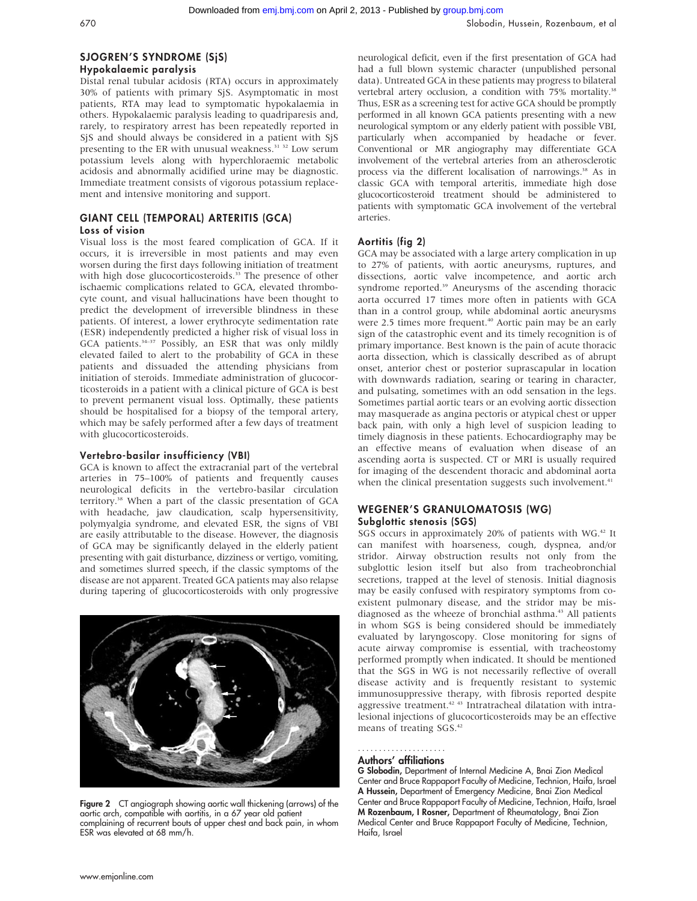# SJOGREN'S SYNDROME (SjS)

### Hypokalaemic paralysis

Distal renal tubular acidosis (RTA) occurs in approximately 30% of patients with primary SjS. Asymptomatic in most patients, RTA may lead to symptomatic hypokalaemia in others. Hypokalaemic paralysis leading to quadriparesis and, rarely, to respiratory arrest has been repeatedly reported in SjS and should always be considered in a patient with SjS presenting to the ER with unusual weakness.<sup>31</sup> <sup>32</sup> Low serum potassium levels along with hyperchloraemic metabolic acidosis and abnormally acidified urine may be diagnostic. Immediate treatment consists of vigorous potassium replacement and intensive monitoring and support.

### GIANT CELL (TEMPORAL) ARTERITIS (GCA) Loss of vision

Visual loss is the most feared complication of GCA. If it occurs, it is irreversible in most patients and may even worsen during the first days following initiation of treatment with high dose glucocorticosteroids.<sup>33</sup> The presence of other ischaemic complications related to GCA, elevated thrombocyte count, and visual hallucinations have been thought to predict the development of irreversible blindness in these patients. Of interest, a lower erythrocyte sedimentation rate (ESR) independently predicted a higher risk of visual loss in GCA patients.34–37 Possibly, an ESR that was only mildly elevated failed to alert to the probability of GCA in these patients and dissuaded the attending physicians from initiation of steroids. Immediate administration of glucocorticosteroids in a patient with a clinical picture of GCA is best to prevent permanent visual loss. Optimally, these patients should be hospitalised for a biopsy of the temporal artery, which may be safely performed after a few days of treatment with glucocorticosteroids.

# Vertebro-basilar insufficiency (VBI)

GCA is known to affect the extracranial part of the vertebral arteries in 75–100% of patients and frequently causes neurological deficits in the vertebro-basilar circulation territory.38 When a part of the classic presentation of GCA with headache, jaw claudication, scalp hypersensitivity, polymyalgia syndrome, and elevated ESR, the signs of VBI are easily attributable to the disease. However, the diagnosis of GCA may be significantly delayed in the elderly patient presenting with gait disturbance, dizziness or vertigo, vomiting, and sometimes slurred speech, if the classic symptoms of the disease are not apparent. Treated GCA patients may also relapse during tapering of glucocorticosteroids with only progressive



Figure 2 CT angiograph showing aortic wall thickening (arrows) of the aortic arch, compatible with aortitis, in a 67 year old patient complaining of recurrent bouts of upper chest and back pain, in whom ESR was elevated at 68 mm/h.

neurological deficit, even if the first presentation of GCA had had a full blown systemic character (unpublished personal data). Untreated GCA in these patients may progress to bilateral vertebral artery occlusion, a condition with 75% mortality.<sup>38</sup> Thus, ESR as a screening test for active GCA should be promptly performed in all known GCA patients presenting with a new neurological symptom or any elderly patient with possible VBI, particularly when accompanied by headache or fever. Conventional or MR angiography may differentiate GCA involvement of the vertebral arteries from an atherosclerotic process via the different localisation of narrowings.<sup>38</sup> As in classic GCA with temporal arteritis, immediate high dose glucocorticosteroid treatment should be administered to patients with symptomatic GCA involvement of the vertebral arteries.

# Aortitis (fig 2)

GCA may be associated with a large artery complication in up to 27% of patients, with aortic aneurysms, ruptures, and dissections, aortic valve incompetence, and aortic arch syndrome reported.<sup>39</sup> Aneurysms of the ascending thoracic aorta occurred 17 times more often in patients with GCA than in a control group, while abdominal aortic aneurysms were 2.5 times more frequent.<sup>40</sup> Aortic pain may be an early sign of the catastrophic event and its timely recognition is of primary importance. Best known is the pain of acute thoracic aorta dissection, which is classically described as of abrupt onset, anterior chest or posterior suprascapular in location with downwards radiation, searing or tearing in character, and pulsating, sometimes with an odd sensation in the legs. Sometimes partial aortic tears or an evolving aortic dissection may masquerade as angina pectoris or atypical chest or upper back pain, with only a high level of suspicion leading to timely diagnosis in these patients. Echocardiography may be an effective means of evaluation when disease of an ascending aorta is suspected. CT or MRI is usually required for imaging of the descendent thoracic and abdominal aorta when the clinical presentation suggests such involvement.<sup>41</sup>

### WEGENER'S GRANULOMATOSIS (WG) Subglottic stenosis (SGS)

SGS occurs in approximately 20% of patients with WG.42 It can manifest with hoarseness, cough, dyspnea, and/or stridor. Airway obstruction results not only from the subglottic lesion itself but also from tracheobronchial secretions, trapped at the level of stenosis. Initial diagnosis may be easily confused with respiratory symptoms from coexistent pulmonary disease, and the stridor may be misdiagnosed as the wheeze of bronchial asthma.<sup>43</sup> All patients in whom SGS is being considered should be immediately evaluated by laryngoscopy. Close monitoring for signs of acute airway compromise is essential, with tracheostomy performed promptly when indicated. It should be mentioned that the SGS in WG is not necessarily reflective of overall disease activity and is frequently resistant to systemic immunosuppressive therapy, with fibrosis reported despite aggressive treatment.<sup>42 43</sup> Intratracheal dilatation with intralesional injections of glucocorticosteroids may be an effective means of treating SGS.42

#### Authors' affiliations .....................

G Slobodin, Department of Internal Medicine A, Bnai Zion Medical Center and Bruce Rappaport Faculty of Medicine, Technion, Haifa, Israel A Hussein, Department of Emergency Medicine, Bnai Zion Medical Center and Bruce Rappaport Faculty of Medicine, Technion, Haifa, Israel M Rozenbaum, I Rosner, Department of Rheumatology, Bnai Zion Medical Center and Bruce Rappaport Faculty of Medicine, Technion, Haifa, Israel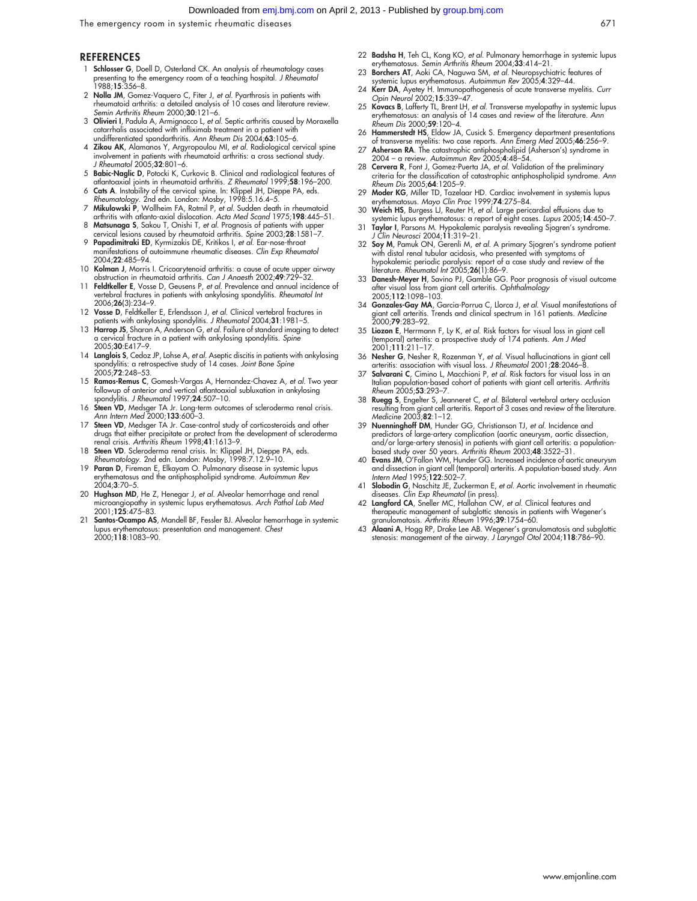#### Downloaded from [emj.bmj.com](http://emj.bmj.com/) on April 2, 2013 - Published by [group.bmj.com](http://group.bmj.com/)

The emergency room in systemic rheumatic diseases 671

#### **REFERENCES**

- 1 Schlosser G, Doell D, Osterland CK. An analysis of rheumatology cases presenting to the emergency room of a teaching hospital. J Rheumatol  $1988;15:356-8.$
- 2 Nolla JM, Gomez-Vaquero C, Fiter J, et al. Pyarthrosis in patients with rheumatoid arthritis: a detailed analysis of 10 cases and literature review. Semin Arthritis Rheum 2000;30:121–6.
- 3 Olivieri I, Padula A, Armignacco L, et al. Septic arthritis caused by Moraxella catarrhalis associated with infliximab treatment in a patient with undifferentiated spondarthritis. Ann Rheum Dis 2004;63:105–6.
- 4 Zikou AK, Alamanos Y, Argyropoulou MI, et al. Radiological cervical spine involvement in patients with rheumatoid arthritis: a cross sectional study. J Rheumatol 2005;32:801–6.
- 5 Babic-Naglic D, Potocki K, Curkovic B. Clinical and radiological features of atlantoaxial joints in rheumatoid arthritis. Z Rheumatol 1999;58:196–200.
- 
- 6 **Cats A**. Instability of the cervical spine. In: Klippel JH, Dieppe PA, eds.<br>Rheumatology. 2nd edn. London: Mosby, 1998:5.16.4–5.<br>**7 Mikulowski P**, Wollheim FA, Rotmil P, et al. Sudden death in rheumatoid<br>arthritis with
- cervical lesions caused by rheumatoid arthritis. Spine 2003;28:1581–7.
- 9 Papadimitraki ED, Kyrmizakis DE, Kritikos I, et al. Ear-nose-throat manifestations of autoimmune rheumatic diseases. Clin Exp Rheumatol 2004;22:485–94.
- 10 Kolman J, Morris I. Cricoarytenoid arthritis: a cause of acute upper airway obstruction in rheumatoid arthritis. Can J Anaesth 2002;49:729–32.
- 11 Feldtkeller E, Vosse D, Geusens P, et al. Prevalence and annual incidence of vertebral fractures in patients with ankylosing spondylitis. Rheumatol Int 2006;26(3):234–9.
- 12 Vosse D, Feldtkeller E, Erlendsson J, et al. Clinical vertebral fractures in patients with ankylosing spondylitis. J Rheumatol 2004;31:1981-5.
- 13 Harrop JS, Sharan A, Anderson G, et al. Failure of standard imaging to detect a cervical fracture in a patient with ankylosing spondylitis. Spine 2005;30:E417–9.
- 14 Langlois S, Cedoz JP, Lohse A, et al. Aseptic discitis in patients with ankylosing spondylitis: a retrospective study of 14 cases. Joint Bone Spine 2005;72:248-53.
- 15 Ramos-Remus C, Gomesh-Vargas A, Hernandez-Chavez A, et al. Two year followup of anterior and vertical atlantoaxial subluxation in ankylosing spondylitis. J Rheumatol 1997;24:507-10.
- 16 Steen VD, Medsger TA Jr. Long-term outcomes of scleroderma renal crisis. Ann Intern Med 2000;133:600–3.
- 17 Steen VD, Medsger TA Jr. Case-control study of corticosteroids and other drugs that either precipitate or protect from the development of scleroderma renal crisis. Arthritis Rheum 1998;41:1613–9.
- 18 Steen VD. Scleroderma renal crisis. In: Klippel JH, Dieppe PA, eds. Rheumatology. 2nd edn. London: Mosby, 1998:7.12.9–10.
- 19 Paran D, Fireman E, Elkayam O. Pulmonary disease in systemic lupus erythematosus and the antiphospholipid syndrome. Autoimmun Rev  $2004.3.70 - 5$
- 20 Hughson MD, He Z, Henegar J, et al. Alveolar hemorrhage and renal microangiopathy in systemic lupus erythematosus. Arch Pathol Lab Med 2001:**125**:475–83.
- 21 Santos-Ocampo AS, Mandell BF, Fessler BJ. Alveolar hemorrhage in systemic lupus erythematosus: presentation and management. Chest 2000;118:1083–90.
- 22 Badsha H, Teh CL, Kong KO, et al. Pulmonary hemorrhage in systemic lupus erythematosus. Semin Arthritis Rheum 2004;33:414–21.
- 23 Borchers AT, Aoki CA, Naguwa SM, et al. Neuropsychiatric features of systemic lupus erythematosus. Autoimmun Rev 2005;4:329–44.
- 24 Kerr DA, Ayetey H. Immunopathogenesis of acute transverse myelitis. Curr Opin Neurol 2002;15:339–47.
- 25 Kovacs B, Lafferty TL, Brent LH, et al. Transverse myelopathy in systemic lupus erythematosus: an analysis of 14 cases and review of the literature. Ann Rheum Dis 2000;59:120-4.
- 26 Hammerstedt HS, Eldow JA, Cusick S. Emergency department presentations of transverse myelitis: two case reports. Ann Emerg Med 2005;46:256–9.
- 27 Asherson RA. The catastrophic antiphospholipid (Asherson's) syndrome in 2004 – a review. Autoimmun Rev 2005;4:48–54.
- 28 Cervera R, Font J, Gomez-Puerta JA, et al. Validation of the preliminary criteria for the classification of catastrophic antiphospholipid syndrome. A*nn*<br>Rheum Dis 2005;**64**:1205–9.
- 29 Moder KG, Miller TD, Tazelaar HD. Cardiac involvement in systemis lupus erythematosus. Mayo Clin Proc 1999;74:275–84.
- 30 Weich HS, Burgess LJ, Reuter H, et al. Large pericardial effusions due to systemic lupus erythematosus: a report of eight cases. Lupus 2005;14:450–7.
- 31 Taylor I, Parsons M. Hypokalemic paralysis revealing Sjogren's syndrome J Clin Neurosci 2004;11:319–21.
- 32 Soy M, Pamuk ON, Gerenli M, et al. A primary Sjogren's syndrome patient with distal renal tubular acidosis, who presented with symptoms of hypokalemic periodic paralysis: report of a case study and review of the literature. Rheumatol Int 2005;26(1):86–9.
- 33 Danesh-Meyer H, Savino PJ, Gamble GG. Poor prognosis of visual outcome after visual loss from giant cell arteritis. Ophthalmology 2005;112:1098–103.
- 34 Gonzales-Gay MA, Garcia-Porrua C, Llorca J, et al. Visual manifestations of giant cell arteritis. Trends and clinical spectrum in 161 patients. *Medicine*<br>2000;**79**:283–92.
- 35 Liozon E, Herrmann F, Ly K, et al. Risk factors for visual loss in giant cell (temporal) arteritis: a prospective study of 174 patients. Am J Med 2001;111:211–17.
- 36 Nesher G, Nesher R, Rozenman Y, et al. Visual hallucinations in giant cell
- arteritis: association with visual loss. *J Rheumatol* 2001;**28**:2046–8.<br>37 **Salvarani C**, Cimino L, Macchioni P, et al. Risk factors for visual loss in an<br>Italian population-based cohort of patients with giant cell arteri Rheum 2005;53:293–7.
- 38 Ruegg S, Engelter S, Jeanneret C, et al. Bilateral vertebral artery occlusion resulting from giant cell arteritis. Report of 3 cases and review of the literature. Medicine 2003;82:1–12.
- 39 Nuenninghoff DM, Hunder GG, Christianson TJ, et al. Incidence and predictors of large-artery complication (aortic aneurysm, aortic dissection, and/or large-artery stenosis) in patients with giant cell arteritis: a populationbased study over 50 years. Arthritis Rheum 2003;48:3522–31.
- 40 Evans JM, O'Fallon WM, Hunder GG. Increased incidence of aortic aneurysm and dissection in giant cell (temporal) arteritis. A population-based study. Ann Intern Med 1995;122:502-7.
- Slobodin G, Naschitz JE, Zuckerman E, et al. Aortic involvement in rheumatic diseases. Clin Exp Rheumatol (in press).
- 42 Langford CA, Sneller MC, Hallahan CW, et al. Clinical features and therapeutic management of subglottic stenosis in patients with Wegener's<br>granulomatosis. Arthritis Rheum 1996;**39**:1754–60.
- 43 Alaani A, Hogg RP, Drake Lee AB. Wegener's granulomatosis and subglottic stenosis: management of the airway. J Laryngol Otol 2004;118:786–90.